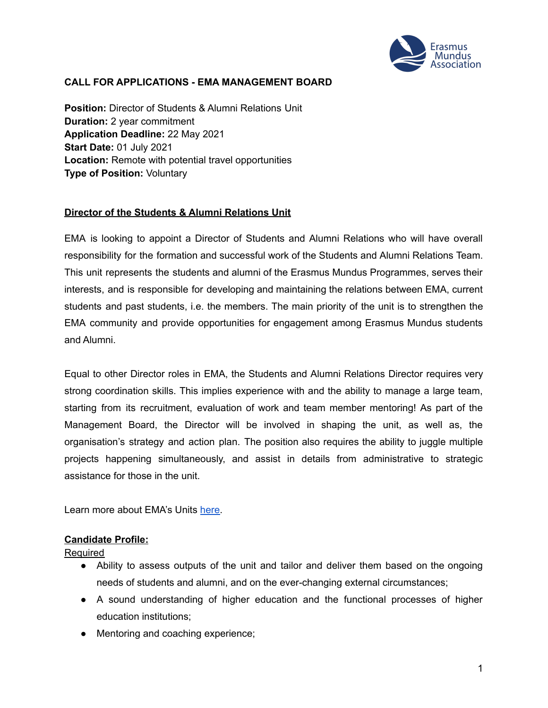

### **CALL FOR APPLICATIONS - EMA MANAGEMENT BOARD**

**Position:** Director of Students & Alumni Relations Unit **Duration:** 2 year commitment **Application Deadline:** 22 May 2021 **Start Date:** 01 July 2021 **Location:** Remote with potential travel opportunities **Type of Position:** Voluntary

#### **Director of the Students & Alumni Relations Unit**

EMA is looking to appoint a Director of Students and Alumni Relations who will have overall responsibility for the formation and successful work of the Students and Alumni Relations Team. This unit represents the students and alumni of the Erasmus Mundus Programmes, serves their interests, and is responsible for developing and maintaining the relations between EMA, current students and past students, i.e. the members. The main priority of the unit is to strengthen the EMA community and provide opportunities for engagement among Erasmus Mundus students and Alumni.

Equal to other Director roles in EMA, the Students and Alumni Relations Director requires very strong coordination skills. This implies experience with and the ability to manage a large team, starting from its recruitment, evaluation of work and team member mentoring! As part of the Management Board, the Director will be involved in shaping the unit, as well as, the organisation's strategy and action plan. The position also requires the ability to juggle multiple projects happening simultaneously, and assist in details from administrative to strategic assistance for those in the unit.

Learn more about EMA's Units [here.](https://www.em-a.eu/structure-and-history)

#### **Candidate Profile:**

Required

- **●** Ability to assess outputs of the unit and tailor and deliver them based on the ongoing needs of students and alumni, and on the ever-changing external circumstances;
- **●** A sound understanding of higher education and the functional processes of higher education institutions;
- **●** Mentoring and coaching experience;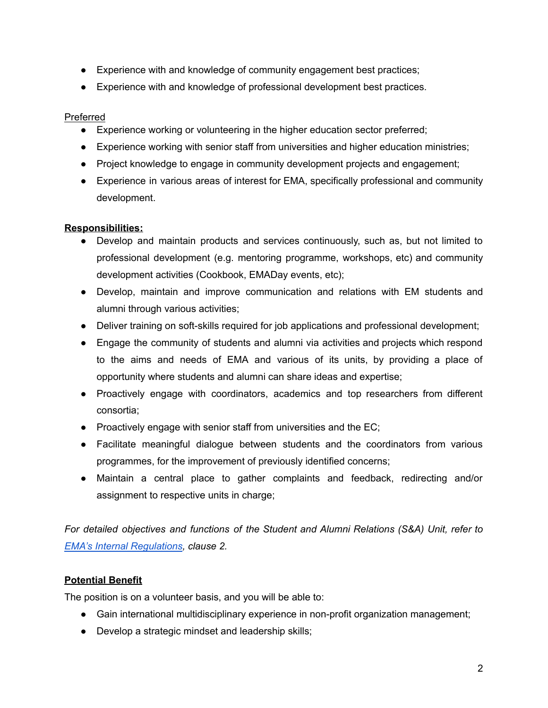- Experience with and knowledge of community engagement best practices;
- Experience with and knowledge of professional development best practices.

## Preferred

- **●** Experience working or volunteering in the higher education sector preferred;
- **●** Experience working with senior staff from universities and higher education ministries;
- **●** Project knowledge to engage in community development projects and engagement;
- **●** Experience in various areas of interest for EMA, specifically professional and community development.

## **Responsibilities:**

- Develop and maintain products and services continuously, such as, but not limited to professional development (e.g. mentoring programme, workshops, etc) and community development activities (Cookbook, EMADay events, etc);
- Develop, maintain and improve communication and relations with EM students and alumni through various activities;
- **●** Deliver training on soft-skills required for job applications and professional development;
- **●** Engage the community of students and alumni via activities and projects which respond to the aims and needs of EMA and various of its units, by providing a place of opportunity where students and alumni can share ideas and expertise;
- **●** Proactively engage with coordinators, academics and top researchers from different consortia;
- **●** Proactively engage with senior staff from universities and the EC;
- **●** Facilitate meaningful dialogue between students and the coordinators from various programmes, for the improvement of previously identified concerns;
- **●** Maintain a central place to gather complaints and feedback, redirecting and/or assignment to respective units in charge;

*For detailed objectives and functions of the Student and Alumni Relations (S&A) Unit, refer to EMA's Internal [Regulations,](https://www.em-a.eu/documents) clause 2.*

# **Potential Benefit**

The position is on a volunteer basis, and you will be able to:

- **●** Gain international multidisciplinary experience in non-profit organization management;
- **●** Develop a strategic mindset and leadership skills;